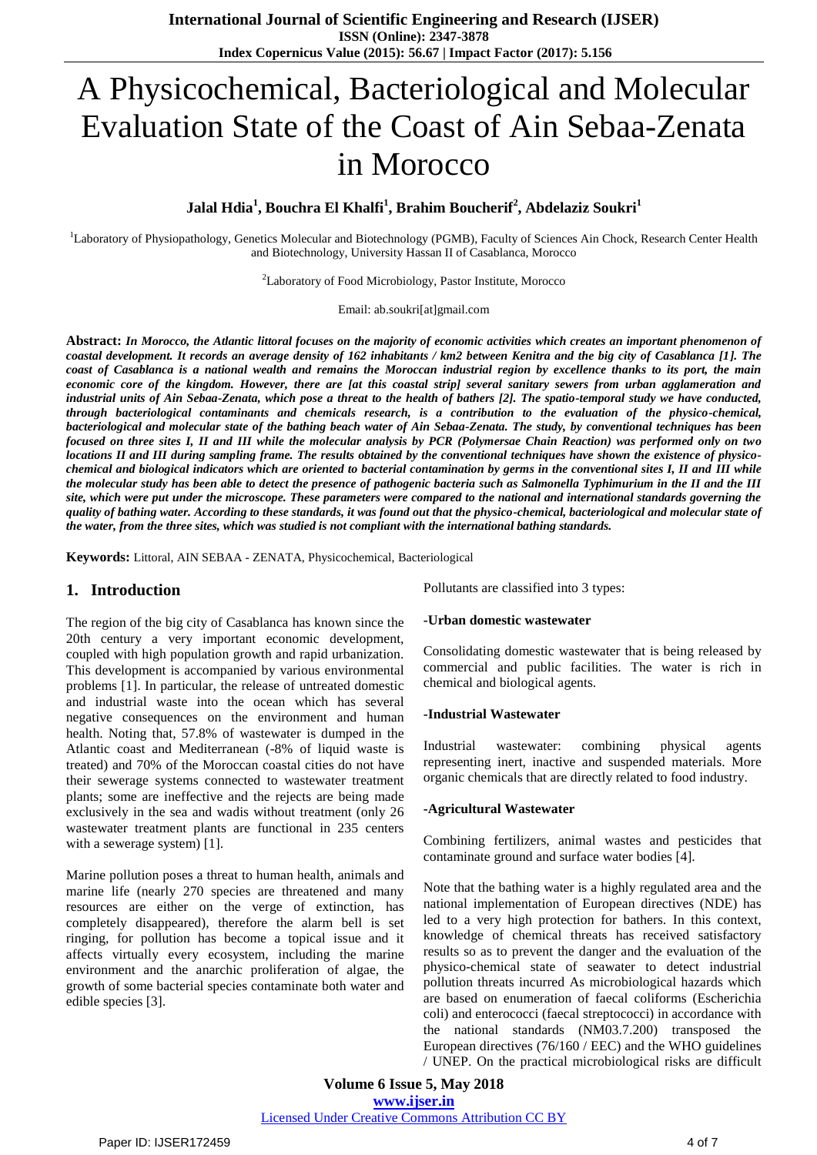# A Physicochemical, Bacteriological and Molecular Evaluation State of the Coast of Ain Sebaa-Zenata in Morocco

# **Jalal Hdia<sup>1</sup> , Bouchra El Khalfi<sup>1</sup> , Brahim Boucherif 2 , Abdelaziz Soukri<sup>1</sup>**

<sup>1</sup>Laboratory of Physiopathology, Genetics Molecular and Biotechnology (PGMB), Faculty of Sciences Ain Chock, Research Center Health and Biotechnology, University Hassan II of Casablanca, Morocco

<sup>2</sup>Laboratory of Food Microbiology, Pastor Institute, Morocco

Email: ab.soukri[at]gmail.com

**Abstract:** *In Morocco, the Atlantic littoral focuses on the majority of economic activities which creates an important phenomenon of coastal development. It records an average density of 162 inhabitants / km2 between Kenitra and the big city of Casablanca [1]. The coast of Casablanca is a national wealth and remains the Moroccan industrial region by excellence thanks to its port, the main economic core of the kingdom. However, there are [at this coastal strip] several sanitary sewers from urban agglameration and industrial units of Ain Sebaa-Zenata, which pose a threat to the health of bathers [2]. The spatio-temporal study we have conducted, through bacteriological contaminants and chemicals research, is a contribution to the evaluation of the physico-chemical, bacteriological and molecular state of the bathing beach water of Ain Sebaa-Zenata. The study, by conventional techniques has been focused on three sites I, II and III while the molecular analysis by PCR (Polymersae Chain Reaction) was performed only on two locations II and III during sampling frame. The results obtained by the conventional techniques have shown the existence of physicochemical and biological indicators which are oriented to bacterial contamination by germs in the conventional sites I, II and III while the molecular study has been able to detect the presence of pathogenic bacteria such as Salmonella Typhimurium in the II and the III site, which were put under the microscope. These parameters were compared to the national and international standards governing the quality of bathing water. According to these standards, it was found out that the physico-chemical, bacteriological and molecular state of the water, from the three sites, which was studied is not compliant with the international bathing standards.*

**Keywords:** Littoral, AIN SEBAA - ZENATA, Physicochemical, Bacteriological

## **1. Introduction**

The region of the big city of Casablanca has known since the 20th century a very important economic development, coupled with high population growth and rapid urbanization. This development is accompanied by various environmental problems [1]. In particular, the release of untreated domestic and industrial waste into the ocean which has several negative consequences on the environment and human health. Noting that, 57.8% of wastewater is dumped in the Atlantic coast and Mediterranean (-8% of liquid waste is treated) and 70% of the Moroccan coastal cities do not have their sewerage systems connected to wastewater treatment plants; some are ineffective and the rejects are being made exclusively in the sea and wadis without treatment (only 26 wastewater treatment plants are functional in 235 centers with a sewerage system) [1].

Marine pollution poses a threat to human health, animals and marine life (nearly 270 species are threatened and many resources are either on the verge of extinction, has completely disappeared), therefore the alarm bell is set ringing, for pollution has become a topical issue and it affects virtually every ecosystem, including the marine environment and the anarchic proliferation of algae, the growth of some bacterial species contaminate both water and edible species [3].

Pollutants are classified into 3 types:

#### **-Urban domestic wastewater**

Consolidating domestic wastewater that is being released by commercial and public facilities. The water is rich in chemical and biological agents.

#### **-Industrial Wastewater**

Industrial wastewater: combining physical agents representing inert, inactive and suspended materials. More organic chemicals that are directly related to food industry.

#### **-Agricultural Wastewater**

Combining fertilizers, animal wastes and pesticides that contaminate ground and surface water bodies [4].

Note that the bathing water is a highly regulated area and the national implementation of European directives (NDE) has led to a very high protection for bathers. In this context, knowledge of chemical threats has received satisfactory results so as to prevent the danger and the evaluation of the physico-chemical state of seawater to detect industrial pollution threats incurred As microbiological hazards which are based on enumeration of faecal coliforms (Escherichia coli) and enterococci (faecal streptococci) in accordance with the national standards (NM03.7.200) transposed the European directives (76/160 / EEC) and the WHO guidelines / UNEP. On the practical microbiological risks are difficult

**Volume 6 Issue 5, May 2018 <www.ijser.in>** [Licensed Under Creative Commons Attribution CC BY](http://creativecommons.org/licenses/by/4.0/)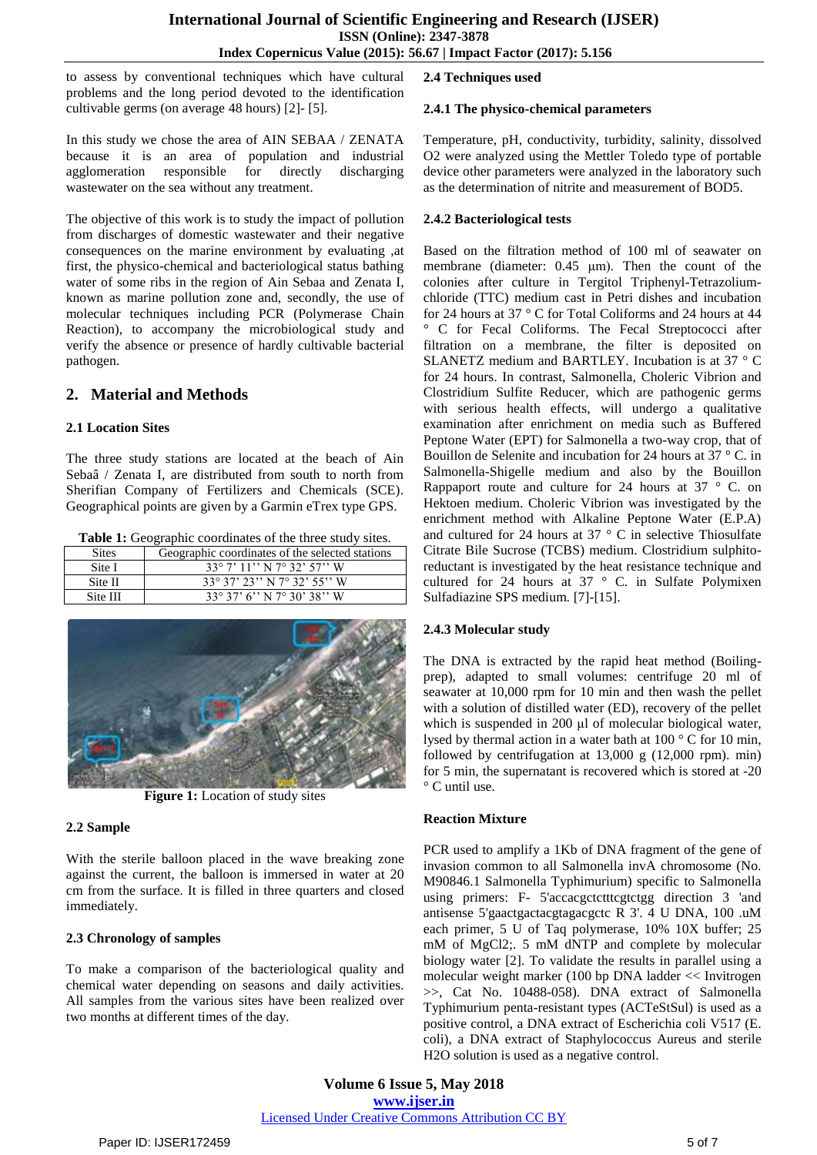to assess by conventional techniques which have cultural problems and the long period devoted to the identification cultivable germs (on average 48 hours) [2]- [5].

In this study we chose the area of AIN SEBAA / ZENATA because it is an area of population and industrial agglomeration responsible for directly discharging wastewater on the sea without any treatment.

The objective of this work is to study the impact of pollution from discharges of domestic wastewater and their negative consequences on the marine environment by evaluating ,at first, the physico-chemical and bacteriological status bathing water of some ribs in the region of Ain Sebaa and Zenata I, known as marine pollution zone and, secondly, the use of molecular techniques including PCR (Polymerase Chain Reaction), to accompany the microbiological study and verify the absence or presence of hardly cultivable bacterial pathogen.

# **2. Material and Methods**

## **2.1 Location Sites**

The three study stations are located at the beach of Ain Sebaâ / Zenata I, are distributed from south to north from Sherifian Company of Fertilizers and Chemicals (SCE). Geographical points are given by a Garmin eTrex type GPS.

**Table 1:** Geographic coordinates of the three study sites.

| <b>Sites</b> | Geographic coordinates of the selected stations |  |  |  |
|--------------|-------------------------------------------------|--|--|--|
| Site I       | $33^{\circ}$ 7' $11''$ N $7^{\circ}$ 32' 57'' W |  |  |  |
| Site II      | $33^{\circ}37'23''$ N $7^{\circ}32'55''$ W      |  |  |  |
| Site III     | $33^{\circ}37'$ 6" N 7 $^{\circ}30'38''$ W      |  |  |  |



**Figure 1:** Location of study sites

### **2.2 Sample**

With the sterile balloon placed in the wave breaking zone against the current, the balloon is immersed in water at 20 cm from the surface. It is filled in three quarters and closed immediately.

## **2.3 Chronology of samples**

To make a comparison of the bacteriological quality and chemical water depending on seasons and daily activities. All samples from the various sites have been realized over two months at different times of the day.

## **2.4 Techniques used**

### **2.4.1 The physico-chemical parameters**

Temperature, pH, conductivity, turbidity, salinity, dissolved O2 were analyzed using the Mettler Toledo type of portable device other parameters were analyzed in the laboratory such as the determination of nitrite and measurement of BOD5.

## **2.4.2 Bacteriological tests**

Based on the filtration method of 100 ml of seawater on membrane (diameter: 0.45 μm). Then the count of the colonies after culture in Tergitol Triphenyl-Tetrazoliumchloride (TTC) medium cast in Petri dishes and incubation for 24 hours at 37 ° C for Total Coliforms and 24 hours at 44 ° C for Fecal Coliforms. The Fecal Streptococci after filtration on a membrane, the filter is deposited on SLANETZ medium and BARTLEY. Incubation is at 37 ° C for 24 hours. In contrast, Salmonella, Choleric Vibrion and Clostridium Sulfite Reducer, which are pathogenic germs with serious health effects, will undergo a qualitative examination after enrichment on media such as Buffered Peptone Water (EPT) for Salmonella a two-way crop, that of Bouillon de Selenite and incubation for 24 hours at 37 ° C. in Salmonella-Shigelle medium and also by the Bouillon Rappaport route and culture for 24 hours at 37 ° C. on Hektoen medium. Choleric Vibrion was investigated by the enrichment method with Alkaline Peptone Water (E.P.A) and cultured for 24 hours at 37 ° C in selective Thiosulfate Citrate Bile Sucrose (TCBS) medium. Clostridium sulphitoreductant is investigated by the heat resistance technique and cultured for 24 hours at 37 ° C. in Sulfate Polymixen Sulfadiazine SPS medium. [7]-[15].

## **2.4.3 Molecular study**

The DNA is extracted by the rapid heat method (Boilingprep), adapted to small volumes: centrifuge 20 ml of seawater at 10,000 rpm for 10 min and then wash the pellet with a solution of distilled water (ED), recovery of the pellet which is suspended in 200 μl of molecular biological water, lysed by thermal action in a water bath at 100 ° C for 10 min, followed by centrifugation at 13,000 g (12,000 rpm). min) for 5 min, the supernatant is recovered which is stored at -20 ° C until use.

### **Reaction Mixture**

PCR used to amplify a 1Kb of DNA fragment of the gene of invasion common to all Salmonella invA chromosome (No. M90846.1 Salmonella Typhimurium) specific to Salmonella using primers: F- 5'accacgctctttcgtctgg direction 3 'and antisense 5'gaactgactacgtagacgctc R 3'. 4 U DNA, 100 .uM each primer, 5 U of Taq polymerase, 10% 10X buffer; 25 mM of MgCl2;. 5 mM dNTP and complete by molecular biology water [2]. To validate the results in parallel using a molecular weight marker (100 bp DNA ladder << Invitrogen >>, Cat No. 10488-058). DNA extract of Salmonella Typhimurium penta-resistant types (ACTeStSul) is used as a positive control, a DNA extract of Escherichia coli V517 (E. coli), a DNA extract of Staphylococcus Aureus and sterile H2O solution is used as a negative control.

**Volume 6 Issue 5, May 2018 <www.ijser.in>** [Licensed Under Creative Commons Attribution CC BY](http://creativecommons.org/licenses/by/4.0/)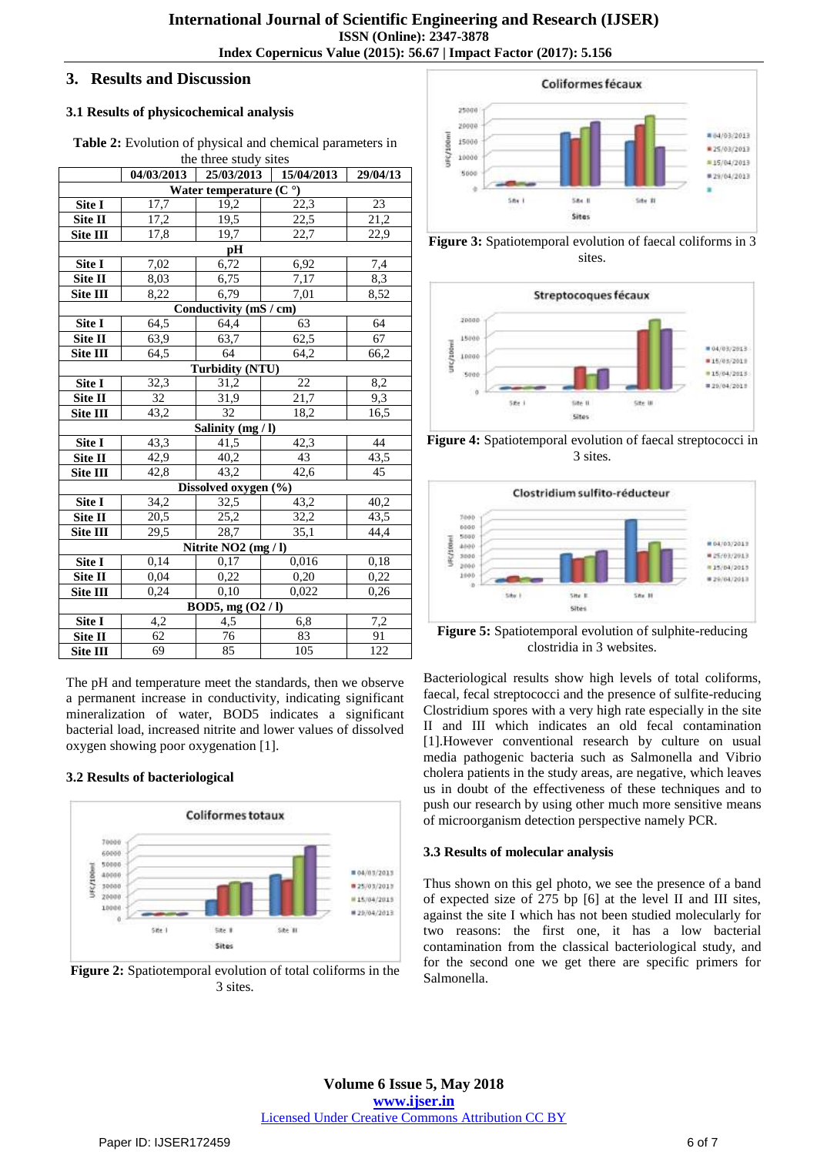# **3. Results and Discussion**

## **3.1 Results of physicochemical analysis**

**Table 2:** Evolution of physical and chemical parameters in the three study sites

|                                   | 04/03/2013 | 25/03/2013      | 15/04/2013       | 29/04/13 |  |
|-----------------------------------|------------|-----------------|------------------|----------|--|
| Water temperature $(Co)$          |            |                 |                  |          |  |
| Site I                            | 17,7       | 19,2            | 22,3             | $23\,$   |  |
| Site II                           | 17,2       | 19,5            | 22,5             | 21,2     |  |
| Site III                          | 17,8       | 19,7            | 22,7             | 22,9     |  |
| pH                                |            |                 |                  |          |  |
| Site I                            | 7,02       | 6,72            | 6,92             | 7,4      |  |
| Site II                           | 8,03       | 6,75            | 7,17             | 8,3      |  |
| Site $\overline{\text{III}}$      | 8,22       | 6,79            | 7,01             | 8,52     |  |
| Conductivity (mS / cm)            |            |                 |                  |          |  |
| Site I                            | 64,5       | 64,4            | 63               | 64       |  |
| Site II                           | 63,9       | 63,7            | 62,5             | 67       |  |
| Site III                          | 64,5       | 64              | 64,2             | 66,2     |  |
| <b>Turbidity (NTU)</b>            |            |                 |                  |          |  |
| Site I                            | 32,3       | 31,2            | $\overline{22}$  | 8,2      |  |
| Site II                           | 32         | 31,9            | 21,7             | 9,3      |  |
| Site III                          | 43,2       | $\overline{32}$ | 18,2             | 16,5     |  |
| Salinity (mg / l)                 |            |                 |                  |          |  |
| Site I                            | 43,3       | 41,5            | 42,3             | 44       |  |
| Site II                           | 42,9       | 40,2            | 43               | 43,5     |  |
| Site III                          | 42,8       | 43,2            | 42,6             | 45       |  |
| Dissolved oxygen (%)              |            |                 |                  |          |  |
| Site I                            | 34,2       | 32,5            | 43,2             | 40,2     |  |
| Site II                           | 20,5       | 25,2            | 32,2             | 43,5     |  |
| Site III                          | 29,5       | 28,7            | 35,1             | 44,4     |  |
| Nitrite NO <sub>2</sub> (mg / l)  |            |                 |                  |          |  |
| Site I                            | 0,14       | 0,17            | 0,016            | 0,18     |  |
| Site II                           | 0,04       | 0,22            | 0,20             | 0,22     |  |
| Site III                          | 0,24       | 0,10            | 0,022            | 0,26     |  |
| $\overline{BOD5}$ , mg $(O2 / I)$ |            |                 |                  |          |  |
| Site I                            | 4,2        | 4,5             | 6,8              | 7,2      |  |
| Site II                           | 62         | 76              | 83               | 91       |  |
| Site III                          | 69         | 85              | $\overline{105}$ | 122      |  |

The pH and temperature meet the standards, then we observe a permanent increase in conductivity, indicating significant mineralization of water, BOD5 indicates a significant bacterial load, increased nitrite and lower values of dissolved oxygen showing poor oxygenation [1].

## **3.2 Results of bacteriological**



**Figure 2:** Spatiotemporal evolution of total coliforms in the 3 sites.







**Figure 4:** Spatiotemporal evolution of faecal streptococci in 3 sites.



**Figure 5:** Spatiotemporal evolution of sulphite-reducing clostridia in 3 websites.

Bacteriological results show high levels of total coliforms, faecal, fecal streptococci and the presence of sulfite-reducing Clostridium spores with a very high rate especially in the site II and III which indicates an old fecal contamination [1].However conventional research by culture on usual media pathogenic bacteria such as Salmonella and Vibrio cholera patients in the study areas, are negative, which leaves us in doubt of the effectiveness of these techniques and to push our research by using other much more sensitive means of microorganism detection perspective namely PCR.

### **3.3 Results of molecular analysis**

Thus shown on this gel photo, we see the presence of a band of expected size of 275 bp [6] at the level II and III sites, against the site I which has not been studied molecularly for two reasons: the first one, it has a low bacterial contamination from the classical bacteriological study, and for the second one we get there are specific primers for Salmonella.